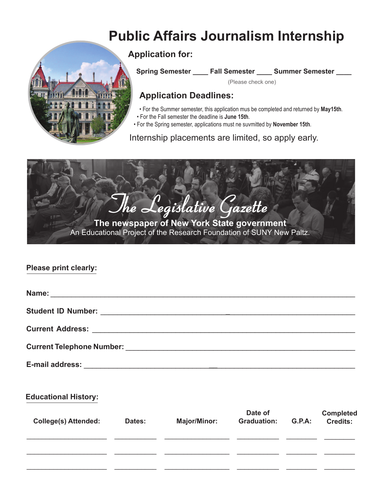# **Public Affairs Journalism Internship**



**Application for:**

**Spring Semester \_\_\_\_ Fall Semester \_\_\_\_ Summer Semester \_\_\_\_**

(Please check one)

# **Application Deadlines:**

- For the Summer semester, this application mus be completed and returned by **May15th**.
- For the Fall semester the deadline is **June 15th**.
- For the Spring semester, applications must ne suvmitted by **November 15th**.

Internship placements are limited, so apply early.



#### **Please print clearly:**

| <b>Current Telephone Number:</b> Number and Number of Australian Australian Australian Australian Australian Australian Australian Australian Australian Australian Australian Australian Australian Australian Australian Australi |
|-------------------------------------------------------------------------------------------------------------------------------------------------------------------------------------------------------------------------------------|

**E-mail address:** \_\_\_\_\_\_\_\_\_\_\_\_\_\_\_\_\_\_\_\_\_\_\_\_\_\_\_\_\_\_**\_\_**\_\_\_\_\_\_\_\_\_\_\_\_\_\_\_\_\_\_\_\_\_\_\_\_\_\_\_\_\_\_\_\_\_

#### **Educational History:**

| <b>College(s) Attended:</b> | Dates: | <b>Major/Minor:</b> | Date of<br><b>Graduation:</b> | <b>G.P.A:</b> | <b>Completed</b><br><b>Credits:</b> |
|-----------------------------|--------|---------------------|-------------------------------|---------------|-------------------------------------|
|                             |        |                     |                               |               |                                     |
|                             |        |                     |                               |               |                                     |
|                             |        |                     |                               |               |                                     |